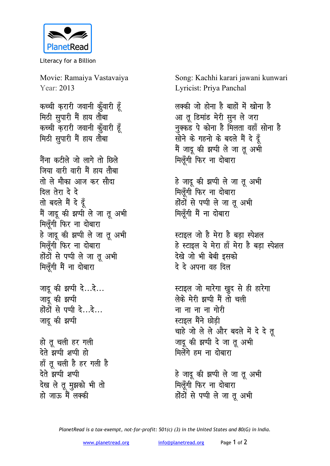

Literacy for a Billion

Movie: Ramaiya Vastavaiya Year: 2013

कच्ची करारी जवानी कुँवारी हूँ मिठी सुपारी मैं हाय तौबा कच्ची करारी जवानी क़ूँवारी हूँ मिठी सुपारी मैं हाय तौबा

नैंना कटीले जो लागे तो छिले जिया वारी वारी मैं हाय तौबा तो ले मौका आज कर सौदा दिल तेरा दे दे तो बदले मैं दे दूँ मैं जादू की झप्पी ले जा तू अभी मिलूँगी फिर ना दोबारा हे जादू की झप्पी ले जा तू अभी मिलूँगी फिर ना दोबारा होंठों से पप्पी ले जा तू अभी मिलूँगी मैं ना दोबारा

जादू की झप्पी दे...दे... जादू की झप्पी होंठों से पप्पी दे...दे... जादू की झप्पी

हो तु चली हर गली देते झप्पी शप्पी हो हाँ तू चली है हर गली है देते झप्पी शप्पी देख ले तू मुझको भी तो हो जाऊ में लक्की

Song: Kachhi karari jawani kunwari Lyricist: Priya Panchal

लक्की जो होना है बाहों में खोना है आ तू डिमांड मेरी सून ले जरा नुक्कड पे कोना है मिलता वहाँ सोना है सोने के गहनो के बदले मैं दे दूँ मैं जादू की झप्पी ले जा तू अभी मिलुँगी फिर ना दोबारा

हे जादू की झप्पी ले जा तू अभी मिलूँगी फिर ना दोबारा होंठों से पप्पी ले जा तू अभी मिलूँगी मैं ना दोबारा

स्टाइल जो है मेरा है बडा स्पेशल हे स्टाइल ये मेरा हाँ मेरा है बड़ा स्पेशल देखे जो भी बेबी इसको दे दे अपना वह दिल

स्टाइल जो मारेगा खुद से ही हारेगा लेके मेरी झप्पी मैं तो चली ना ना ना ना गोरी स्टाइल मैंने छोडी चाहे जो ले ले और बदले में दे दे तू जादू की झप्पी दे जा तू अभी मिलेंगे हम ना दोबारा

हे जादू की झप्पी ले जा तू अभी मिलूँगी फिर ना दोबारा होंठों से पप्पी ले जा तू अभी

PlanetRead is a tax-exempt, not-for-profit: 501(c) (3) in the United States and 80(G) in India.